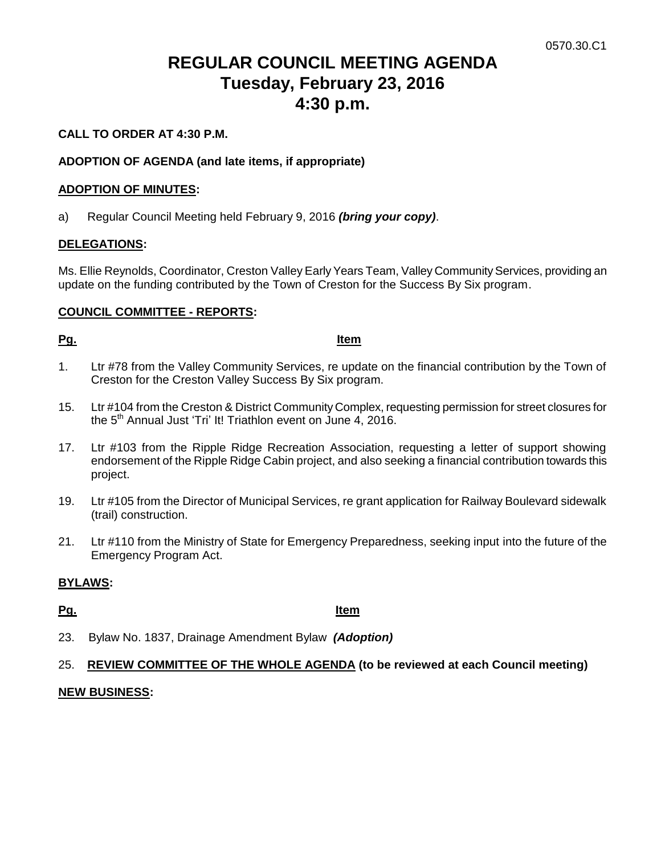# **REGULAR COUNCIL MEETING AGENDA Tuesday, February 23, 2016 4:30 p.m.**

# **CALL TO ORDER AT 4:30 P.M.**

# **ADOPTION OF AGENDA (and late items, if appropriate)**

### **ADOPTION OF MINUTES:**

a) Regular Council Meeting held February 9, 2016 *(bring your copy)*.

### **DELEGATIONS:**

Ms. Ellie Reynolds, Coordinator, Creston Valley Early Years Team, Valley Community Services, providing an update on the funding contributed by the Town of Creston for the Success By Six program.

### **COUNCIL COMMITTEE - REPORTS:**

#### **Pg. Item**

- 1. Ltr #78 from the Valley Community Services, re update on the financial contribution by the Town of Creston for the Creston Valley Success By Six program.
- 15. Ltr #104 from the Creston & District Community Complex, requesting permission for street closures for the 5<sup>th</sup> Annual Just 'Tri' It! Triathlon event on June 4, 2016.
- 17. Ltr #103 from the Ripple Ridge Recreation Association, requesting a letter of support showing endorsement of the Ripple Ridge Cabin project, and also seeking a financial contribution towards this project.
- 19. Ltr #105 from the Director of Municipal Services, re grant application for Railway Boulevard sidewalk (trail) construction.
- 21. Ltr #110 from the Ministry of State for Emergency Preparedness, seeking input into the future of the Emergency Program Act.

### **BYLAWS:**

### **Pg. Item**

23. Bylaw No. 1837, Drainage Amendment Bylaw *(Adoption)*

### 25. **REVIEW COMMITTEE OF THE WHOLE AGENDA (to be reviewed at each Council meeting)**

#### **NEW BUSINESS:**